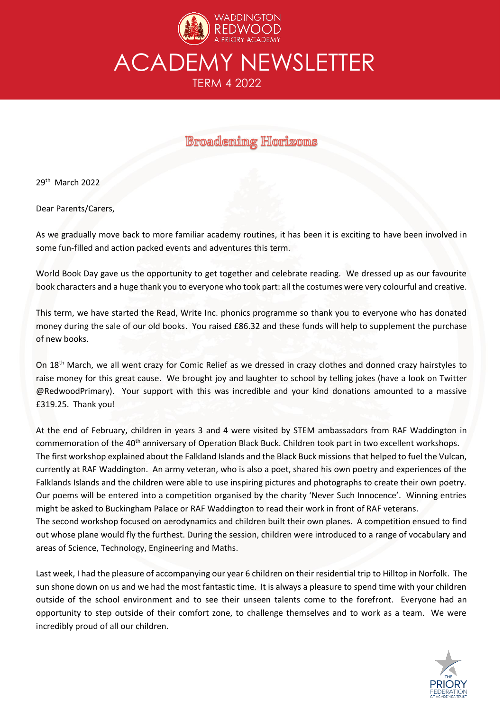

# ACADEMY NEWSLETTER TERM 4 2022

**Broademing Horizons** 

29th March 2022

Dear Parents/Carers,

As we gradually move back to more familiar academy routines, it has been it is exciting to have been involved in some fun-filled and action packed events and adventures this term.

World Book Day gave us the opportunity to get together and celebrate reading. We dressed up as our favourite book characters and a huge thank you to everyone who took part: all the costumes were very colourful and creative.

This term, we have started the Read, Write Inc. phonics programme so thank you to everyone who has donated money during the sale of our old books. You raised £86.32 and these funds will help to supplement the purchase of new books.

On 18th March, we all went crazy for Comic Relief as we dressed in crazy clothes and donned crazy hairstyles to raise money for this great cause. We brought joy and laughter to school by telling jokes (have a look on Twitter @RedwoodPrimary). Your support with this was incredible and your kind donations amounted to a massive £319.25. Thank you!

At the end of February, children in years 3 and 4 were visited by STEM ambassadors from RAF Waddington in commemoration of the 40th anniversary of Operation Black Buck. Children took part in two excellent workshops. The first workshop explained about the Falkland Islands and the Black Buck missions that helped to fuel the Vulcan, currently at RAF Waddington. An army veteran, who is also a poet, shared his own poetry and experiences of the Falklands Islands and the children were able to use inspiring pictures and photographs to create their own poetry. Our poems will be entered into a competition organised by the charity 'Never Such Innocence'. Winning entries might be asked to Buckingham Palace or RAF Waddington to read their work in front of RAF veterans. The second workshop focused on aerodynamics and children built their own planes. A competition ensued to find out whose plane would fly the furthest. During the session, children were introduced to a range of vocabulary and areas of Science, Technology, Engineering and Maths.

Last week, I had the pleasure of accompanying our year 6 children on their residential trip to Hilltop in Norfolk. The sun shone down on us and we had the most fantastic time. It is always a pleasure to spend time with your children outside of the school environment and to see their unseen talents come to the forefront. Everyone had an opportunity to step outside of their comfort zone, to challenge themselves and to work as a team. We were incredibly proud of all our children.

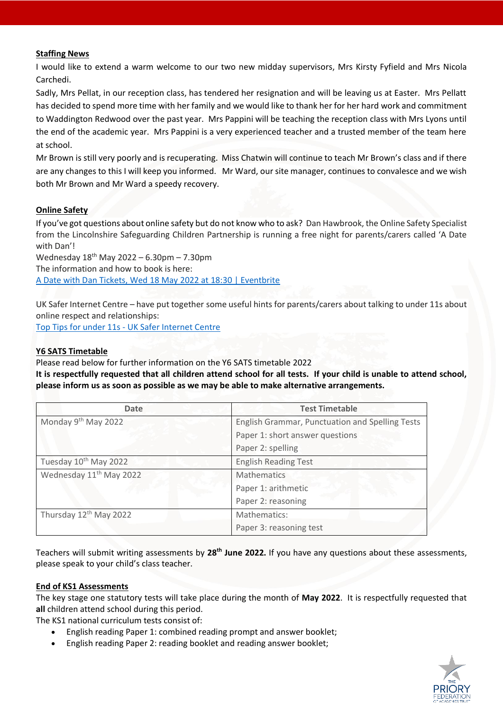## **Staffing News**

I would like to extend a warm welcome to our two new midday supervisors, Mrs Kirsty Fyfield and Mrs Nicola Carchedi.

Sadly, Mrs Pellat, in our reception class, has tendered her resignation and will be leaving us at Easter. Mrs Pellatt has decided to spend more time with her family and we would like to thank her for her hard work and commitment to Waddington Redwood over the past year. Mrs Pappini will be teaching the reception class with Mrs Lyons until the end of the academic year. Mrs Pappini is a very experienced teacher and a trusted member of the team here at school.

Mr Brown is still very poorly and is recuperating. Miss Chatwin will continue to teach Mr Brown's class and if there are any changes to this I will keep you informed. Mr Ward, our site manager, continues to convalesce and we wish both Mr Brown and Mr Ward a speedy recovery.

### **Online Safety**

If you've got questions about online safety but do not know who to ask? Dan Hawbrook, the Online Safety Specialist from the Lincolnshire Safeguarding Children Partnership is running a free night for parents/carers called 'A Date with Dan'!

Wednesday  $18^{th}$  May 2022 – 6.30pm – 7.30pm The information and how to book is here: A Date with Dan Tickets, Wed 18 May 2022 at 18:30 | [Eventbrite](https://www.eventbrite.co.uk/e/a-date-with-dan-tickets-287806616337)

UK Safer Internet Centre – have put together some useful hints for parents/carers about talking to under 11s about online respect and relationships: Top Tips for under 11s - UK Safer [Internet](https://saferinternet.org.uk/safer-internet-day/safer-internet-day-2022/top-tips-for-under-11s) Centre

**Y6 SATS Timetable**

Please read below for further information on the Y6 SATS timetable 2022

**It is respectfully requested that all children attend school for all tests. If your child is unable to attend school, please inform us as soon as possible as we may be able to make alternative arrangements.** 

| <b>Date</b>                         | <b>Test Timetable</b>                                  |
|-------------------------------------|--------------------------------------------------------|
| Monday 9 <sup>th</sup> May 2022     | <b>English Grammar, Punctuation and Spelling Tests</b> |
|                                     | Paper 1: short answer questions                        |
|                                     | Paper 2: spelling                                      |
| Tuesday 10 <sup>th</sup> May 2022   | <b>English Reading Test</b>                            |
| Wednesday 11 <sup>th</sup> May 2022 | <b>Mathematics</b>                                     |
|                                     | Paper 1: arithmetic                                    |
|                                     | Paper 2: reasoning                                     |
| Thursday 12 <sup>th</sup> May 2022  | Mathematics:                                           |
|                                     | Paper 3: reasoning test                                |

Teachers will submit writing assessments by **28th June 2022.** If you have any questions about these assessments, please speak to your child's class teacher.

#### **End of KS1 Assessments**

The key stage one statutory tests will take place during the month of **May 2022**. It is respectfully requested that **all** children attend school during this period.

The KS1 national curriculum tests consist of:

- English reading Paper 1: combined reading prompt and answer booklet;
- English reading Paper 2: reading booklet and reading answer booklet;

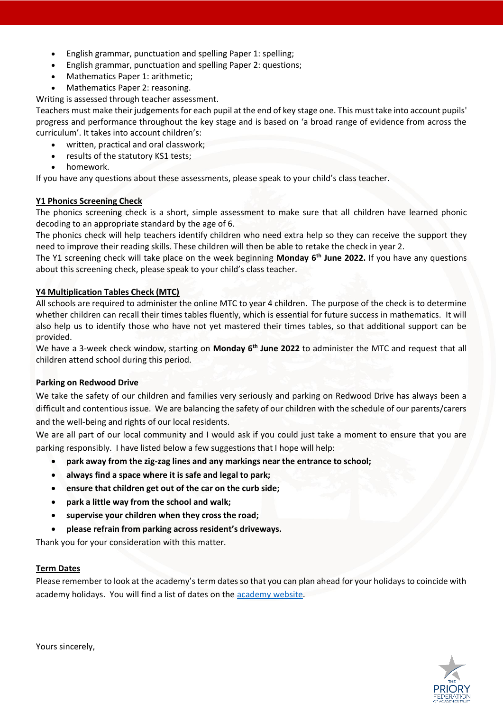- English grammar, punctuation and spelling Paper 1: spelling;
- English grammar, punctuation and spelling Paper 2: questions;
- Mathematics Paper 1: arithmetic;
- Mathematics Paper 2: reasoning.

Writing is assessed through teacher assessment.

Teachers must make their judgements for each pupil at the end of key stage one. This must take into account pupils' progress and performance throughout the key stage and is based on 'a broad range of evidence from across the curriculum'. It takes into account children's:

- written, practical and oral classwork;
- results of the statutory KS1 tests;
- homework.

If you have any questions about these assessments, please speak to your child's class teacher.

#### **Y1 Phonics Screening Check**

The phonics screening check is a short, simple assessment to make sure that all children have learned phonic decoding to an appropriate standard by the age of 6.

The phonics check will help teachers identify children who need extra help so they can receive the support they need to improve their reading skills. These children will then be able to retake the check in year 2.

The Y1 screening check will take place on the week beginning **Monday 6 th June 2022.** If you have any questions about this screening check, please speak to your child's class teacher.

#### **Y4 Multiplication Tables Check (MTC)**

All schools are required to administer the online MTC to year 4 children. The purpose of the check is to determine whether children can recall their times tables fluently, which is essential for future success in mathematics. It will also help us to identify those who have not yet mastered their times tables, so that additional support can be provided.

We have a 3-week check window, starting on Monday 6<sup>th</sup> June 2022 to administer the MTC and request that all children attend school during this period.

#### **Parking on Redwood Drive**

We take the safety of our children and families very seriously and parking on Redwood Drive has always been a difficult and contentious issue. We are balancing the safety of our children with the schedule of our parents/carers and the well-being and rights of our local residents.

We are all part of our local community and I would ask if you could just take a moment to ensure that you are parking responsibly. I have listed below a few suggestions that I hope will help:

- **park away from the zig-zag lines and any markings near the entrance to school;**
- **always find a space where it is safe and legal to park;**
- **ensure that children get out of the car on the curb side;**
- **park a little way from the school and walk;**
- **supervise your children when they cross the road;**
- **please refrain from parking across resident's driveways.**

Thank you for your consideration with this matter.

#### **Term Dates**

Please remember to look at the academy's term dates so that you can plan ahead for your holidays to coincide with academy holidays. You will find a list of dates on the [academy](https://www.redwood.lincs.sch.uk/page/?title=Term+dates&pid=38) website.



Yours sincerely,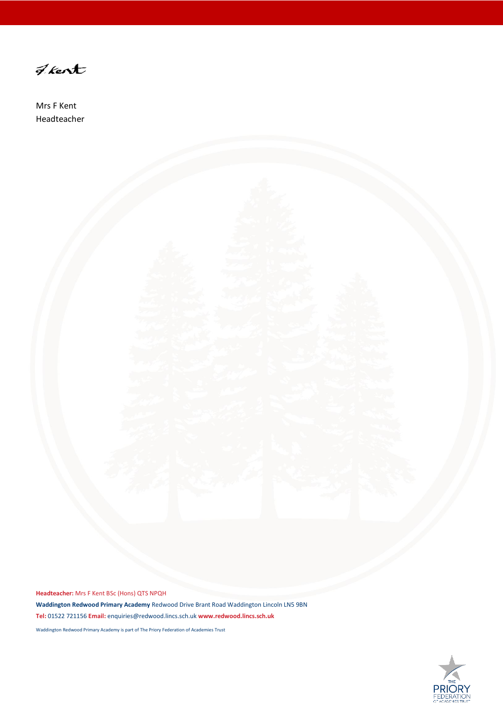F. Kent

Mrs F Kent Headteacher

**Headteacher:** Mrs F Kent BSc (Hons) QTS NPQH

**Waddington Redwood Primary Academy** Redwood Drive Brant Road Waddington Lincoln LN5 9BN **Tel:** 01522 721156 **Email:** enquiries@redwood.lincs.sch.uk **www.redwood.lincs.sch.uk**

Waddington Redwood Primary Academy is part of The Priory Federation of Academies Trust

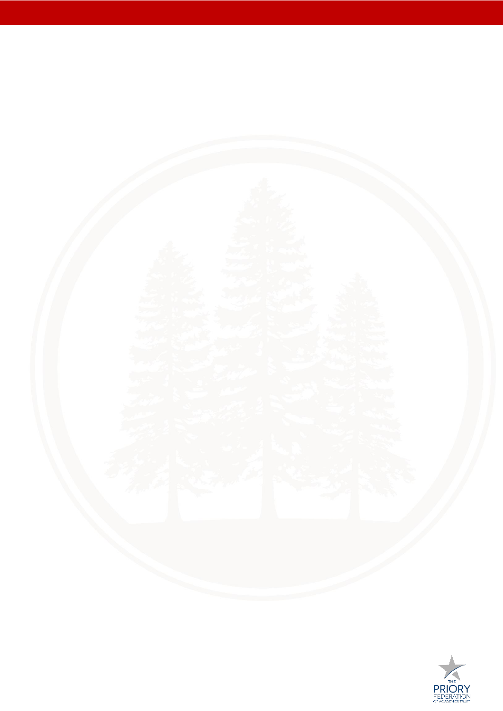

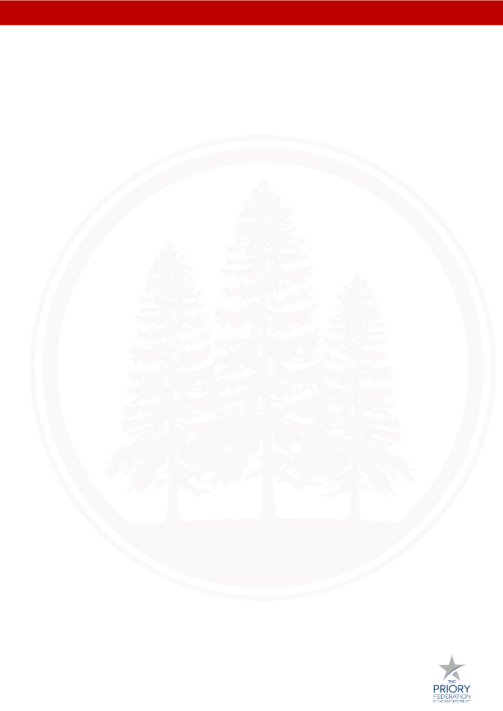